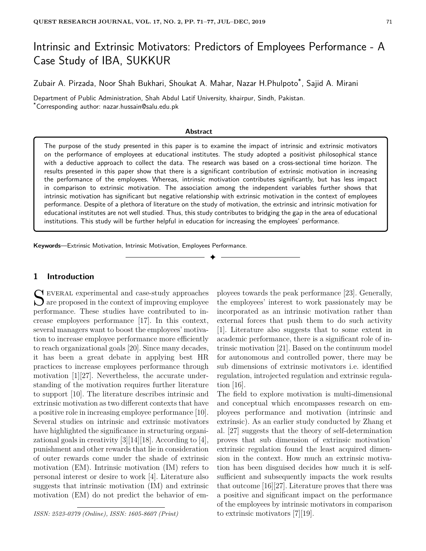# Intrinsic and Extrinsic Motivators: Predictors of Employees Performance - A Case Study of IBA, SUKKUR

Zubair A. Pirzada, Noor Shah Bukhari, Shoukat A. Mahar, Nazar H.Phulpoto\* , Sajid A. Mirani

Department of Public Administration, Shah Abdul Latif University, khairpur, Sindh, Pakistan. \*Corresponding author: nazar.hussain@salu.edu.pk

#### **Abstract**

The purpose of the study presented in this paper is to examine the impact of intrinsic and extrinsic motivators on the performance of employees at educational institutes. The study adopted a positivist philosophical stance with a deductive approach to collect the data. The research was based on a cross-sectional time horizon. The results presented in this paper show that there is a significant contribution of extrinsic motivation in increasing the performance of the employees. Whereas, intrinsic motivation contributes significantly, but has less impact in comparison to extrinsic motivation. The association among the independent variables further shows that intrinsic motivation has significant but negative relationship with extrinsic motivation in the context of employees performance. Despite of a plethora of literature on the study of motivation, the extrinsic and intrinsic motivation for educational institutes are not well studied. Thus, this study contributes to bridging the gap in the area of educational institutions. This study will be further helpful in education for increasing the employees' performance.

✦

**Keywords**—Extrinsic Motivation, Intrinsic Motivation, Employees Performance.

# **1 Introduction**

S EVERAL experimental and case-study approaches<br>are proposed in the context of improving employee  $\bigcup$  are proposed in the context of improving employee performance. These studies have contributed to increase employees performance [17]. In this context, several managers want to boost the employees' motivation to increase employee performance more efficiently to reach organizational goals [20]. Since many decades, it has been a great debate in applying best HR practices to increase employees performance through motivation [1][27]. Nevertheless, the accurate understanding of the motivation requires further literature to support [10]. The literature describes intrinsic and extrinsic motivation as two different contexts that have a positive role in increasing employee performance [10]. Several studies on intrinsic and extrinsic motivators have highlighted the significance in structuring organizational goals in creativity [3][14][18]. According to [4], punishment and other rewards that lie in consideration of outer rewards come under the shade of extrinsic motivation (EM). Intrinsic motivation (IM) refers to personal interest or desire to work [4]. Literature also suggests that intrinsic motivation (IM) and extrinsic motivation (EM) do not predict the behavior of em-

*ISSN: 2523-0379 (Online), ISSN: 1605-8607 (Print)*

ployees towards the peak performance [23]. Generally, the employees' interest to work passionately may be incorporated as an intrinsic motivation rather than external forces that push them to do such activity [1]. Literature also suggests that to some extent in academic performance, there is a significant role of intrinsic motivation [21]. Based on the continuum model for autonomous and controlled power, there may be sub dimensions of extrinsic motivators i.e. identified regulation, introjected regulation and extrinsic regulation [16].

The field to explore motivation is multi-dimensional and conceptual which encompasses research on employees performance and motivation (intrinsic and extrinsic). As an earlier study conducted by Zhang et al. [27] suggests that the theory of self-determination proves that sub dimension of extrinsic motivation' extrinsic regulation found the least acquired dimension in the context. How much an extrinsic motivation has been disguised decides how much it is selfsufficient and subsequently impacts the work results that outcome [16][27]. Literature proves that there was a positive and significant impact on the performance of the employees by intrinsic motivators in comparison to extrinsic motivators [7][19].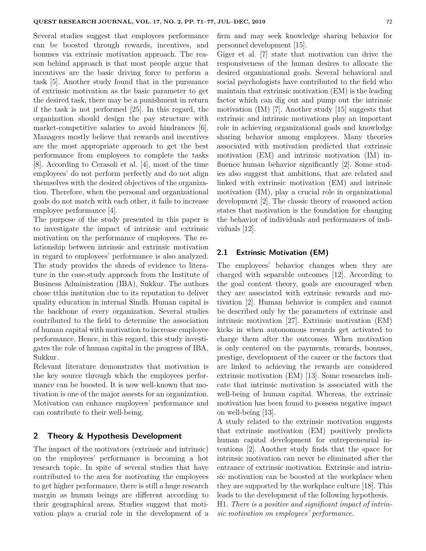Several studies suggest that employees performance can be boosted through rewards, incentives, and bonuses via extrinsic motivation approach. The reason behind approach is that most people argue that incentives are the basic driving force to perform a task [5]. Another study found that in the pursuance of extrinsic motivation as the basic parameter to get the desired task, there may be a punishment in return if the task is not performed [25]. In this regard, the organization should design the pay structure with market-competitive salaries to avoid hindrances [6]. Managers mostly believe that rewards and incentives are the most appropriate approach to get the best performance from employees to complete the tasks [8]. According to Cerasoli et al. [4], most of the time employees' do not perform perfectly and do not align themselves with the desired objectives of the organization. Therefore, when the personal and organizational goals do not match with each other, it fails to increase employee performance [4].

The purpose of the study presented in this paper is to investigate the impact of intrinsic and extrinsic motivation on the performance of employees. The relationship between intrinsic and extrinsic motivation in regard to employees' performance is also analyzed. The study provides the shreds of evidence to literature in the case-study approach from the Institute of Business Administration (IBA), Sukkur. The authors chose tthis institution due to its reputation to deliver quality education in internal Sindh. Human capital is the backbone of every organization. Several studies contributed to the field to determine the association of human capital with motivation to increase employee performance. Hence, in this regard, this study investigates the role of human capital in the progress of IBA, Sukkur.

Relevant literature demonstrates that motivation is the key source through which the employees performance can be boosted. It is now well-known that motivation is one of the major assests for an organization. Motivation can enhance employees' performance and can contribute to their well-being.

# **2 Theory & Hypothesis Development**

The impact of the motivators (extrinsic and intrinsic) on the employees' performance is becoming a hot research topic. In spite of several studies that have contributed to the area for motivating the employees to get higher performance, there is still a huge research margin as human beings are different according to their geographical areas. Studies suggest that motivation plays a crucial role in the development of a firm and may seek knowledge sharing behavior for personnel development [15].

Giger et al. [7] state that motivation can drive the responsiveness of the human desires to allocate the desired organizational goals. Several behavioral and social psychologists have contributed to the field who maintain that extrinsic motivation (EM) is the leading factor which can dig out and pump out the intrinsic motivation (IM) [7]. Another study [15] suggests that extrinsic and intrinsic motivations play an important role in achieving organizational goals and knowledge sharing behavior among employees. Many theories associated with motivation predicted that extrinsic motivation (EM) and intrinsic motivation (IM) influence human behavior significantly [2]. Some studies also suggest that ambitions, that are related and linked with extrinsic motivation (EM) and intrinsic motivation (IM), play a crucial role in organizational development [2]. The classic theory of reasoned action states that motivation is the foundation for changing the behavior of individuals and performances of individuals [12].

# **2.1 Extrinsic Motivation (EM)**

The employees' behavior changes when they are charged with separable outcomes [12]. According to the goal content theory, goals are encouraged when they are associated with extrinsic rewards and motivation [2]. Human behavior is complex and cannot be described only by the parameters of extrinsic and intrinsic motivation [27]. Extrinsic motivation (EM) kicks in when autonomous rewards get activated to charge them after the outcomes. When motivation is only centered on the payments, rewards, bonuses, prestige, development of the career or the factors that are linked to achieving the rewards are considered extrinsic motivation (EM) [13]. Some researches indicate that intrinsic motivation is associated with the well-being of human capital. Whereas, the extrinsic motivation has been found to possess negative impact on well-being [13].

A study related to the extrinsic motivation suggests that extrinsic motivation (EM) positively predicts human capital development for entrepreneurial intentions [2]. Another study finds that the space for intrinsic motivation can never be eliminated after the entrance of extrinsic motivation. Extrinsic and intrinsic motivation can be boosted at the workplace when they are supported by the workplace culture [18]. This leads to the development of the following hypothesis.

H1. *There is a positive and significant impact of intrinsic motivation on employees' performance.*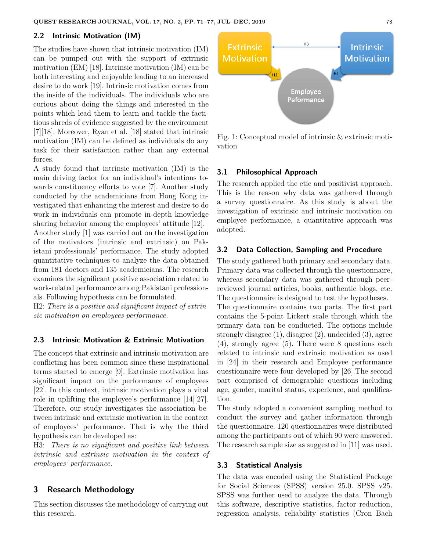## **2.2 Intrinsic Motivation (IM)**

The studies have shown that intrinsic motivation (IM) can be pumped out with the support of extrinsic motivation (EM) [18]. Intrinsic motivation (IM) can be both interesting and enjoyable leading to an increased desire to do work [19]. Intrinsic motivation comes from the inside of the individuals. The individuals who are curious about doing the things and interested in the points which lead them to learn and tackle the factitious shreds of evidence suggested by the environment [7][18]. Moreover, Ryan et al. [18] stated that intrinsic motivation (IM) can be defined as individuals do any task for their satisfaction rather than any external forces.

A study found that intrinsic motivation (IM) is the main driving factor for an individual's intentions towards constituency efforts to vote [7]. Another study conducted by the academicians from Hong Kong investigated that enhancing the interest and desire to do work in individuals can promote in-depth knowledge sharing behavior among the employees' attitude [12].

Another study [1] was carried out on the investigation of the motivators (intrinsic and extrinsic) on Pakistani professionals' performance. The study adopted quantitative techniques to analyze the data obtained from 181 doctors and 135 academicians. The research examines the significant positive association related to work-related performance among Pakistani profession-

als. Following hypothesis can be formulated.

H2: *There is a positive and significant impact of extrinsic motivation on employees performance.*

## **2.3 Intrinsic Motivation & Extrinsic Motivation**

The concept that extrinsic and intrinsic motivation are conflicting has been common since these inspirational terms started to emerge [9]. Extrinsic motivation has significant impact on the performance of employees [22]. In this context, intrinsic motivation plays a vital role in uplifting the employee's performance [14][27]. Therefore, our study investigates the association between intrinsic and extrinsic motivation in the context of employees' performance. That is why the third hypothesis can be developed as:

H3: *There is no significant and positive link between intrinsic and extrinsic motivation in the context of employees' performance.*

# **3 Research Methodology**

This section discusses the methodology of carrying out this research.



Fig. 1: Conceptual model of intrinsic & extrinsic motivation

# **3.1 Philosophical Approach**

The research applied the etic and positivist approach. This is the reason why data was gathered through a survey questionnaire. As this study is about the investigation of extrinsic and intrinsic motivation on employee performance, a quantitative approach was adopted.

#### **3.2 Data Collection, Sampling and Procedure**

The study gathered both primary and secondary data. Primary data was collected through the questionnaire, whereas secondary data was gathered through peerreviewed journal articles, books, authentic blogs, etc. The questionnaire is designed to test the hypotheses.

The questionnaire contains two parts. The first part contains the 5-point Lickert scale through which the primary data can be conducted. The options include strongly disagree (1), disagree (2), undecided (3), agree (4), strongly agree (5). There were 8 questions each related to intrinsic and extrinsic motivation as used in [24] in their research and Employee performance questionnaire were four developed by [26].The second part comprised of demographic questions including age, gender, marital status, experience, and qualification.

The study adopted a convenient sampling method to conduct the survey and gather information through the questionnaire. 120 questionnaires were distributed among the participants out of which 90 were answered. The research sample size as suggested in [11] was used.

#### **3.3 Statistical Analysis**

The data was encoded using the Statistical Package for Social Sciences (SPSS) version 25.0. SPSS v25. SPSS was further used to analyze the data. Through this software, descriptive statistics, factor reduction, regression analysis, reliability statistics (Cron Bach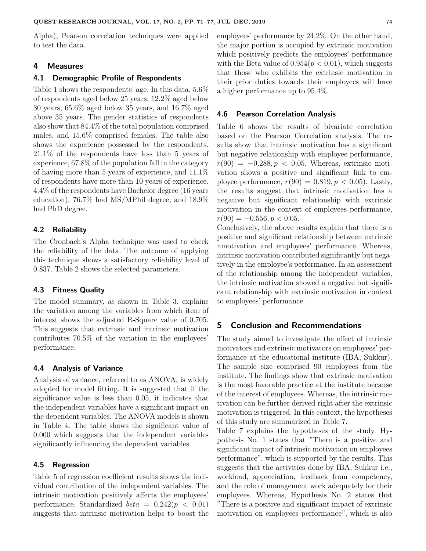Alpha), Pearson correlation techniques were applied to test the data.

## **4 Measures**

#### **4.1 Demographic Profile of Respondents**

Table 1 shows the respondents' age. In this data, 5.6% of respondents aged below 25 years, 12.2% aged below 30 years, 65.6% aged below 35 years, and 16.7% aged above 35 years. The gender statistics of respondents also show that 84.4% of the total population comprised males, and 15.6% comprised females. The table also shows the experience possessed by the respondents. 21.1% of the respondents have less than 5 years of experience, 67.8% of the population fall in the category of having more than 5 years of experience, and 11.1% of respondents have more than 10 years of experience. 4.4% of the respondents have Bachelor degree (16 years education), 76.7% had MS/MPhil degree, and 18.9% had PhD degree.

# **4.2 Reliability**

The Cronbach's Alpha technique was used to check the reliability of the data. The outcome of applying this technique shows a satisfactory reliability level of 0.837. Table 2 shows the selected parameters.

#### **4.3 Fitness Quality**

The model summary, as shown in Table 3, explains the variation among the variables from which item of interest shows the adjusted R-Square value of 0.705. This suggests that extrinsic and intrinsic motivation contributes 70.5% of the variation in the employees' performance.

# **4.4 Analysis of Variance**

Analysis of variance, referred to as ANOVA, is widely adopted for model fitting. It is suggested that if the significance value is less than 0.05, it indicates that the independent variables have a significant impact on the dependent variables. The ANOVA models is shown in Table 4. The table shows the significant value of 0.000 which suggests that the independent variables significantly influencing the dependent variables.

#### **4.5 Regression**

Table 5 of regression coefficient results shows the individual contribution of the independent variables. The intrinsic motivation positively affects the employees' performance. Standardized *beta* =  $0.242(p < 0.01)$ suggests that intrinsic motivation helps to boost the employees' performance by 24.2%. On the other hand, the major portion is occupied by extrinsic motivation which positively predicts the employees' performance with the Beta value of  $0.954(p < 0.01)$ , which suggests that those who exhibits the extrinsic motivation in their prior duties towards their employees will have a higher performance up to 95.4%.

## **4.6 Pearson Correlation Analysis**

Table 6 shows the results of bivariate correlation based on the Pearson Correlation analysis. The results show that intrinsic motivation has a significant but negative relationship with employee performance,  $r(90) = -0.288, p < 0.05$ . Whereas, extrinsic motivation shows a positive and significant link to employee performance,  $r(90) = 0.819, p < 0.05$ . Lastly, the results suggest that intrinsic motivation has a negative but significant relationship with extrinsic motivation in the context of employees performance,  $r(90) = -0.556, p < 0.05$ .

Conclusively, the above results explain that there is a positive and significant relationship between extrinsic nmotivation and employees' performance. Whereas, intrinsic motivation contributed significantly but negatively in the employee's performance. In an assessment of the relationship among the independent variables, the intrinsic motivation showed a negative but significant relationship with extrinsic motivation in context to employees' performance.

# **5 Conclusion and Recommendations**

The study aimed to investigate the effect of intrinsic motivators and extrinsic motivators on employees' performance at the educational institute (IBA, Sukkur). The sample size comprised 90 employees from the institute. The findings show that extrinsic motivation is the most favorable practice at the institute because of the interest of employees. Whereas, the intrinsic motivation can be further derived right after the extrinsic motivation is triggered. In this context, the hypotheses of this study are summarized in Table 7.

Table 7 explains the hypotheses of the study. Hypothesis No. 1 states that "There is a positive and significant impact of intrinsic motivation on employees performance", which is supported by the results. This suggests that the activities done by IBA, Sukkur i.e., workload, appreciation, feedback from competency, and the role of management work adequately for their employees. Whereas, Hypothesis No. 2 states that "There is a positive and significant impact of extrinsic motivation on employees performance", which is also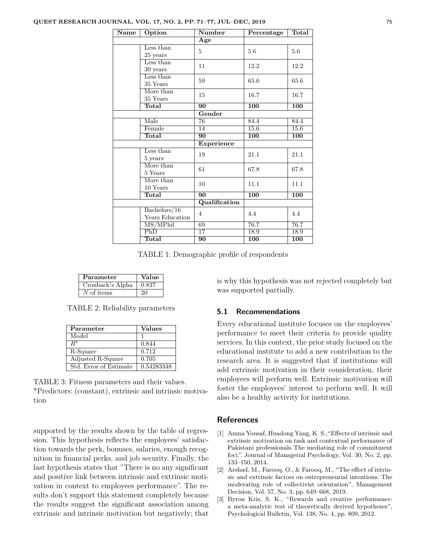| $\overline{\mathbf{Name}}$ | Option                    | <b>Number</b>   | Percentage       | Total            |
|----------------------------|---------------------------|-----------------|------------------|------------------|
|                            |                           | Age             |                  |                  |
|                            | Less than                 | 5               | 5.6              | 5.6              |
|                            | $25$ years                |                 |                  |                  |
|                            | Less than                 | 11              | 12.2             | 12.2             |
|                            | 30 years                  |                 |                  |                  |
|                            | Less than                 | 59              | 65.6             | 65.6             |
|                            | 35 Years                  |                 |                  |                  |
|                            | More than                 | 15              | 16.7             | 16.7             |
|                            | 35 Years                  |                 |                  |                  |
|                            | Total                     | $\overline{90}$ | $\overline{100}$ | <b>100</b>       |
|                            |                           | Gender          |                  |                  |
|                            | Male                      | 76              | 84.4             | 84.4             |
|                            | Female                    | 14              | 15.6             | 15.6             |
|                            | <b>Total</b>              | 90              | 100              | 100              |
|                            |                           | Experience      |                  |                  |
|                            | Less than                 | 19              | 21.1             | 21.1             |
|                            | 5 years                   |                 |                  |                  |
|                            | More than                 | 61              | 67.8             | 67.8             |
|                            | 5 Years                   |                 |                  |                  |
|                            | More than                 | 10              | 11.1             | 11.1             |
|                            | 10 Years                  |                 |                  |                  |
|                            | Total                     | $\overline{90}$ | $\overline{100}$ | $\overline{100}$ |
|                            |                           | Qualification   |                  |                  |
|                            | Bachelors/16              | $\overline{4}$  | 4.4              | 4.4              |
|                            | Years Education           |                 |                  |                  |
|                            | MS/MPhil                  | 69              | 76.7             | 76.7             |
|                            | $\overline{\mathrm{PhD}}$ | 17              | 18.9             | 18.9             |
|                            | Total                     | $\overline{90}$ | 100              | 100              |

TABLE 1: Demographic profile of respondents

| Parameter        | Value |
|------------------|-------|
| Cronbach's Alpha | 0.837 |
| $N$ of items     |       |

TABLE 2: Reliability parameters

| Parameter              | <b>Values</b> |
|------------------------|---------------|
| Model                  |               |
| $R^\ast$               | 0.844         |
| R-Square               | 0.712         |
| Adjusted R-Square      | 0.705         |
| Std. Error of Estimate | 0.54283348    |

TABLE 3: Fitness parameters and their values. \*Predictors: (constant), extrinsic and intrinsic motivation

supported by the results shown by the table of regression. This hypothesis reflects the employees' satisfaction towards the perk, bonuses, salaries, enough recognition in financial perks, and job security. Finally, the last hypothesis states that "There is no any significant and positive link between intrinsic and extrinsic motivation in context to employees performance". The results don't support this statement completely because the results suggest the significant association among extrinsic and intrinsic motivation but negatively; that is why this hypothesis was not rejected completely but was supported partially.

#### **5.1 Recommendations**

Every educational institute focuses on the employees' performance to meet their criteria to provide quality services. In this context, the prior study focused on the educational institute to add a new contribution to the research area. It is suggested that if institutions will add extrinsic motivation in their consideration, their employees will perform well. Extrinsic motivation will foster the employees' interest to perform well. It will also be a healthy activity for institutions.

## **References**

- [1] Amna Yousaf, Huadong Yang, K. S.,"Effects of intrinsic and extrinsic motivation on task and contextual performance of Pakistani professionals The mediating role of commitment foci.". Journal of Managerial Psychology, Vol. 30, No. 2, pp. 133–150, 2014.
- [2] Arshad, M., Farooq, O., & Farooq, M., "The effect of intrinsic and extrinsic factors on entrepreneurial intentions: The moderating role of collectivist orientation", Management Decision, Vol. 57, No. 3, pp. 649–668, 2019.
- [3] Byron Kris, S. K., "Rewards and creative performance: a meta-analytic test of theoretically derived hypotheses", Psychological Bulletin, Vol. 138, No. 4, pp. 809, 2012.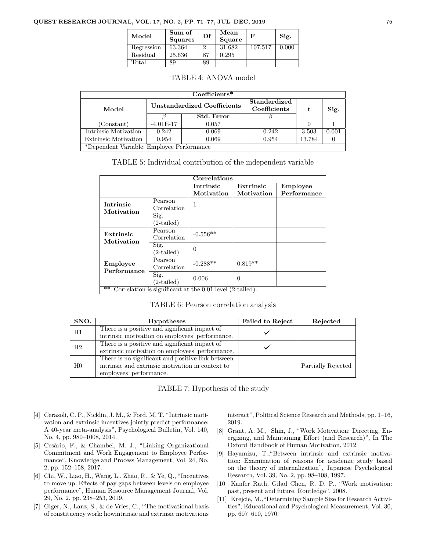#### **QUEST RESEARCH JOURNAL, VOL. 17, NO. 2, PP. 71–77, JUL–DEC, 2019** 76

| Model          | Sum of<br><b>Squares</b> | Df | Mean<br>Square | F       | Sig.  |
|----------------|--------------------------|----|----------------|---------|-------|
| Regression     | 63.364                   |    | 31.682         | 107.517 | 0.000 |
| Residual       | 25.636                   | 87 | 0.295          |         |       |
| $_{\rm Total}$ | 89                       | 89 |                |         |       |

#### TABLE 4: ANOVA model

| $Coefficients*$                           |                                    |                   |                              |        |       |  |
|-------------------------------------------|------------------------------------|-------------------|------------------------------|--------|-------|--|
| Model                                     | <b>Unstandardized Coefficients</b> |                   | Standardized<br>Coefficients | t.     | Sig.  |  |
|                                           |                                    | <b>Std. Error</b> |                              |        |       |  |
| Constant)                                 | $-4.01E-17$                        | 0.057             |                              |        |       |  |
| Intrinsic Motivation                      | 0.242                              | 0.069             | 0.242                        | 3.503  | 0.001 |  |
| <b>Extrinsic Motivation</b>               | 0.954                              | 0.069             | 0.954                        | 13.784 |       |  |
| *Dependent Variable: Employee Performance |                                    |                   |                              |        |       |  |

| TABLE 5: Individual contribution of the independent variable |  |
|--------------------------------------------------------------|--|
|--------------------------------------------------------------|--|

| Correlations                                                 |                          |                  |            |                 |  |
|--------------------------------------------------------------|--------------------------|------------------|------------|-----------------|--|
|                                                              |                          | <b>Intrinsic</b> | Extrinsic  | <b>Employee</b> |  |
|                                                              |                          | Motivation       | Motivation | Performance     |  |
| <b>Intrinsic</b>                                             | Pearson                  | 1                |            |                 |  |
| Motivation                                                   | Correlation              |                  |            |                 |  |
|                                                              | Sig.                     |                  |            |                 |  |
|                                                              | $(2\tt - \text{tailed})$ |                  |            |                 |  |
| Extrinsic                                                    | Pearson                  | $-0.556**$       |            |                 |  |
| Motivation                                                   | Correlation              |                  |            |                 |  |
|                                                              | Sig.                     | $\Omega$         |            |                 |  |
|                                                              | $(2\tt - \text{tailed})$ |                  |            |                 |  |
| <b>Employee</b>                                              | Pearson                  | $-0.288**$       | $0.819**$  |                 |  |
| Performance                                                  | Correlation              |                  |            |                 |  |
|                                                              | Sig.                     | 0.006            | $\Omega$   |                 |  |
|                                                              | $(2\tt - \text{tailed})$ |                  |            |                 |  |
| **. Correlation is significant at the 0.01 level (2-tailed). |                          |                  |            |                 |  |

|  | TABLE 6: Pearson correlation analysis |  |
|--|---------------------------------------|--|
|  |                                       |  |

| SNO.        | <b>Hypotheses</b>                                 | <b>Failed to Reject</b> | Rejected           |
|-------------|---------------------------------------------------|-------------------------|--------------------|
| Η1          | There is a positive and significant impact of     |                         |                    |
|             | intrinsic motivation on employees' performance.   |                         |                    |
| $_{\rm H2}$ | There is a positive and significant impact of     |                         |                    |
|             | extrinsic motivation on employees' performance.   |                         |                    |
|             | There is no significant and positive link between |                         |                    |
| $_{\rm H0}$ | intrinsic and extrinsic motivation in context to  |                         | Partially Rejected |
|             | employees' performance.                           |                         |                    |

TABLE 7: Hypothesis of the study

- [4] Cerasoli, C. P., Nicklin, J. M., & Ford, M. T, "Intrinsic motivation and extrinsic incentives jointly predict performance: A 40-year meta-analysis", Psychological Bulletin, Vol. 140, No. 4, pp. 980–1008, 2014.
- [5] Cesário, F., & Chambel, M. J., "Linking Organizational Commitment and Work Engagement to Employee Performance", Knowledge and Process Management, Vol. 24, No. 2, pp. 152–158, 2017.
- [6] Chi, W., Liao, H., Wang, L., Zhao, R., & Ye, Q., "Incentives to move up: Effects of pay gaps between levels on employee performance", Human Resource Management Journal, Vol. 29, No. 2, pp. 238–253, 2019.
- [7] Giger, N., Lanz, S., & de Vries, C., "The motivational basis of constituency work: howintrinsic and extrinsic motivations

interact", Political Science Research and Methods, pp. 1–16, 2019.

- [8] Grant, A. M., Shin, J., "Work Motivation: Directing, Energizing, and Maintaining Effort (and Research)", In The Oxford Handbook of Human Motivation, 2012.
- [9] Hayamizu, T.,"Between intrinsic and extrinsic motivation: Examination of reasons for academic study based on the theory of internalization", Japanese Psychological Research, Vol. 39, No. 2, pp. 98–108, 1997.
- [10] Kanfer Ruth, Gilad Chen, R. D. P., "Work motivation: past, present and future. Routledge", 2008.
- [11] Krejcie, M.,"Determining Sample Size for Research Activities", Educational and Psychological Measurement, Vol. 30, pp. 607–610, 1970.